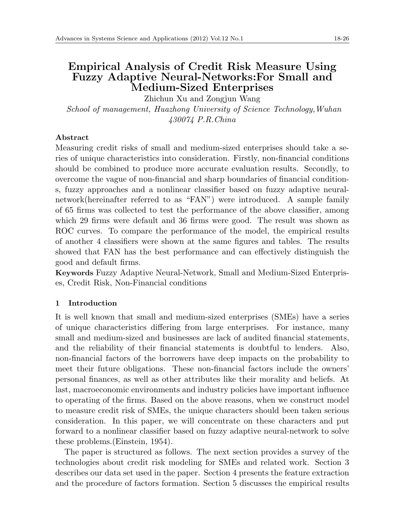# **Empirical Analysis of Credit Risk Measure Using Fuzzy Adaptive Neural-Networks:For Small and Medium-Sized Enterprises**

Zhichun Xu and Zongjun Wang *School of management, Huazhong University of Science Technology,Wuhan 430074 P.R.China*

# **Abstract**

Measuring credit risks of small and medium-sized enterprises should take a series of unique characteristics into consideration. Firstly, non-financial conditions should be combined to produce more accurate evaluation results. Secondly, to overcome the vague of non-financial and sharp boundaries of financial conditions, fuzzy approaches and a nonlinear classifier based on fuzzy adaptive neuralnetwork(hereinafter referred to as "FAN") were introduced. A sample family of 65 firms was collected to test the performance of the above classifier, among which 29 firms were default and 36 firms were good. The result was shown as ROC curves. To compare the performance of the model, the empirical results of another 4 classifiers were shown at the same figures and tables. The results showed that FAN has the best performance and can effectively distinguish the good and default firms.

**Keywords** Fuzzy Adaptive Neural-Network, Small and Medium-Sized Enterprises, Credit Risk, Non-Financial conditions

# **1 Introduction**

It is well known that small and medium-sized enterprises (SMEs) have a series of unique characteristics differing from large enterprises. For instance, many small and medium-sized and businesses are lack of audited financial statements, and the reliability of their financial statements is doubtful to lenders. Also, non-financial factors of the borrowers have deep impacts on the probability to meet their future obligations. These non-financial factors include the owners' personal finances, as well as other attributes like their morality and beliefs. At last, macroeconomic environments and industry policies have important influence to operating of the firms. Based on the above reasons, when we construct model to measure credit risk of SMEs, the unique characters should been taken serious consideration. In this paper, we will concentrate on these characters and put forward to a nonlinear classifier based on fuzzy adaptive neural-network to solve these problems.(Einstein, 1954).

The paper is structured as follows. The next section provides a survey of the technologies about credit risk modeling for SMEs and related work. Section 3 describes our data set used in the paper. Section 4 presents the feature extraction and the procedure of factors formation. Section 5 discusses the empirical results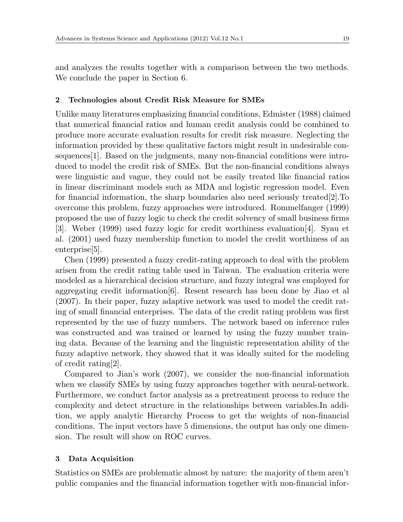and analyzes the results together with a comparison between the two methods. We conclude the paper in Section 6.

#### **2 Technologies about Credit Risk Measure for SMEs**

Unlike many literatures emphasizing financial conditions, Edmister (1988) claimed that numerical financial ratios and human credit analysis could be combined to produce more accurate evaluation results for credit risk measure. Neglecting the information provided by these qualitative factors might result in undesirable consequences[1]. Based on the judgments, many non-financial conditions were introduced to model the credit risk of SMEs. But the non-financial conditions always were linguistic and vague, they could not be easily treated like financial ratios in linear discriminant models such as MDA and logistic regression model. Even for financial information, the sharp boundaries also need seriously treated[2].To overcome this problem, fuzzy approaches were introduced. Rommelfanger (1999) proposed the use of fuzzy logic to check the credit solvency of small business firms [3]. Weber (1999) used fuzzy logic for credit worthiness evaluation[4]. Syau et al. (2001) used fuzzy membership function to model the credit worthiness of an enterprise[5].

Chen (1999) presented a fuzzy credit-rating approach to deal with the problem arisen from the credit rating table used in Taiwan. The evaluation criteria were modeled as a hierarchical decision structure, and fuzzy integral was employed for aggregating credit information[6]. Resent research has been done by Jiao et al (2007). In their paper, fuzzy adaptive network was used to model the credit rating of small financial enterprises. The data of the credit rating problem was first represented by the use of fuzzy numbers. The network based on inference rules was constructed and was trained or learned by using the fuzzy number training data. Because of the learning and the linguistic representation ability of the fuzzy adaptive network, they showed that it was ideally suited for the modeling of credit rating[2].

Compared to Jian's work (2007), we consider the non-financial information when we classify SMEs by using fuzzy approaches together with neural-network. Furthermore, we conduct factor analysis as a pretreatment process to reduce the complexity and detect structure in the relationships between variables.In addition, we apply analytic Hierarchy Process to get the weights of non-financial conditions. The input vectors have 5 dimensions, the output has only one dimension. The result will show on ROC curves.

#### **3 Data Acquisition**

Statistics on SMEs are problematic almost by nature: the majority of them aren't public companies and the financial information together with non-financial infor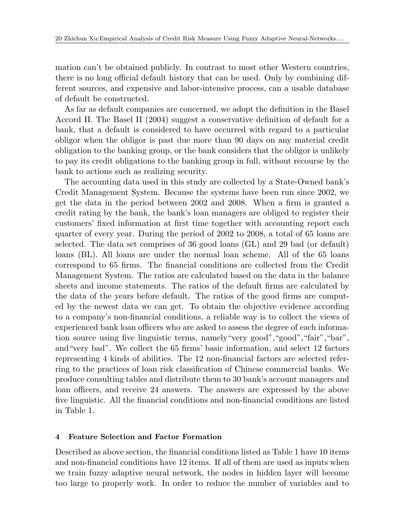mation can't be obtained publicly. In contrast to most other Western countries, there is no long official default history that can be used. Only by combining different sources, and expensive and labor-intensive process, can a usable database of default be constructed.

As far as default companies are concerned, we adopt the definition in the Basel Accord II. The Basel II (2004) suggest a conservative definition of default for a bank, that a default is considered to have occurred with regard to a particular obligor when the obligor is past due more than 90 days on any material credit obligation to the banking group, or the bank considers that the obligor is unlikely to pay its credit obligations to the banking group in full, without recourse by the bank to actions such as realizing security.

The accounting data used in this study are collected by a State-Owned bank's Credit Management System. Because the systems have been run since 2002, we get the data in the period between 2002 and 2008. When a firm is granted a credit rating by the bank, the bank's loan managers are obliged to register their customers' fixed information at first time together with accounting report each quarter of every year. During the period of 2002 to 2008, a total of 65 loans are selected. The data set comprises of 36 good loans (GL) and 29 bad (or default) loans (BL). All loans are under the normal loan scheme. All of the 65 loans correspond to 65 firms. The financial conditions are collected from the Credit Management System. The ratios are calculated based on the data in the balance sheets and income statements. The ratios of the default firms are calculated by the data of the years before default. The ratios of the good firms are computed by the newest data we can get. To obtain the objective evidence according to a company's non-financial conditions, a reliable way is to collect the views of experienced bank loan officers who are asked to assess the degree of each information source using five linguistic terms, namely "very good", "good", "fair", "bar", and"very bad". We collect the 65 firms' basic information, and select 12 factors representing 4 kinds of abilities. The 12 non-financial factors are selected referring to the practices of loan risk classification of Chinese commercial banks. We produce consulting tables and distribute them to 30 bank's account managers and loan officers, and receive 24 answers. The answers are expressed by the above five linguistic. All the financial conditions and non-financial conditions are listed in Table 1.

#### **4 Feature Selection and Factor Formation**

Described as above section, the financial conditions listed as Table 1 have 10 items and non-financial conditions have 12 items. If all of them are used as inputs when we train fuzzy adaptive neural network, the nodes in hidden layer will become too large to properly work. In order to reduce the number of variables and to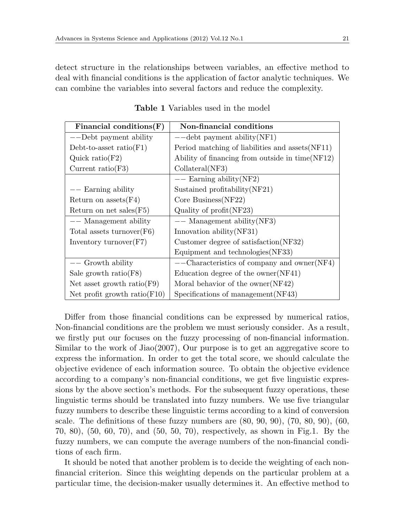detect structure in the relationships between variables, an effective method to deal with financial conditions is the application of factor analytic techniques. We can combine the variables into several factors and reduce the complexity.

| Financial conditions $(F)$       | Non-financial conditions                         |
|----------------------------------|--------------------------------------------------|
| $--$ Debt payment ability        | $-$ -debt payment ability (NF1)                  |
| Debt-to-asset $ratio(F1)$        | Period matching of liabilities and assets (NF11) |
| Quick ratio $(F2)$               | Ability of financing from outside in time(NF12)  |
| Current ratio( $F3$ )            | Collateral(NF3)                                  |
|                                  | $--$ Earning ability (NF2)                       |
| $--$ Earning ability             | Sustained profitability (NF21)                   |
| Return on $assets(F4)$           | Core Business $(NF22)$                           |
| Return on net sales $(F5)$       | Quality of $profit(NF23)$                        |
| -- Management ability            | $--$ Management ability (NF3)                    |
| Total assets $turnover(F6)$      | Innovation ability (NF31)                        |
| Inventory turnover $(F7)$        | Customer degree of satisfaction (NF32)           |
|                                  | Equipment and technologies (NF33)                |
| -- Growth ability                | $--$ Characteristics of company and owner(NF4)   |
| Sale growth $ratio(F8)$          | Education degree of the owner (NF41)             |
| Net asset growth $ratio(F9)$     | Moral behavior of the owner (NF42)               |
| Net profit growth ratio( $F10$ ) | Specifications of management (NF43)              |

**Table 1** Variables used in the model

Differ from those financial conditions can be expressed by numerical ratios, Non-financial conditions are the problem we must seriously consider. As a result, we firstly put our focuses on the fuzzy processing of non-financial information. Similar to the work of Jiao(2007), Our purpose is to get an aggregative score to express the information. In order to get the total score, we should calculate the objective evidence of each information source. To obtain the objective evidence according to a company's non-financial conditions, we get five linguistic expressions by the above section's methods. For the subsequent fuzzy operations, these linguistic terms should be translated into fuzzy numbers. We use five triangular fuzzy numbers to describe these linguistic terms according to a kind of conversion scale. The definitions of these fuzzy numbers are  $(80, 90, 90)$ ,  $(70, 80, 90)$ ,  $(60,$ 70, 80), (50, 60, 70), and (50, 50, 70), respectively, as shown in Fig.1. By the fuzzy numbers, we can compute the average numbers of the non-financial conditions of each firm.

It should be noted that another problem is to decide the weighting of each nonfinancial criterion. Since this weighting depends on the particular problem at a particular time, the decision-maker usually determines it. An effective method to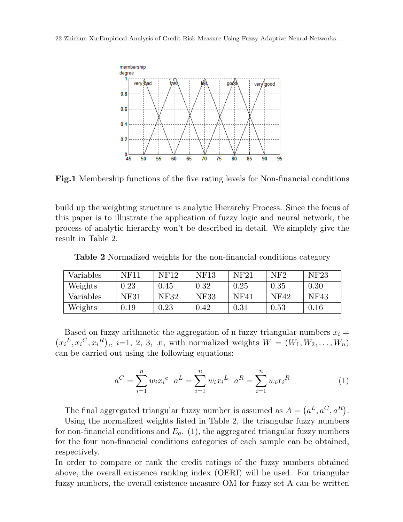

**Fig.1** Membership functions of the five rating levels for Non-financial conditions

build up the weighting structure is analytic Hierarchy Process. Since the focus of this paper is to illustrate the application of fuzzy logic and neural network, the process of analytic hierarchy won't be described in detail. We simplely give the result in Table 2.

| Variables | NF11       | NF12 | <b>NF13</b> | NF <sub>21</sub> | NF2  | NF23 |
|-----------|------------|------|-------------|------------------|------|------|
| Weights   | $0.23\,$   | 0.45 | 0.32        | 0.25             | 0.35 | 0.30 |
| Variables | NF31       | NF32 | NF33        | NF41             | NF42 | NF43 |
| Weights   | $\rm 0.19$ | 0.23 | 0.42        | 0.31             | 0.53 | 0.16 |

**Table 2** Normalized weights for the non-financial conditions category

Based on fuzzy arithmetic the aggregation of n fuzzy triangular numbers  $x_i = (x_i^L, x_i^C, x_i^R), i=1, 2, 3, \dots$ , with normalized weights  $W = (W_1, W_2, \dots, W_n)$ can be carried out using the following equations:

$$
a^C = \sum_{i=1}^n w_i x_i^c \quad a^L = \sum_{i=1}^n w_i x_i^L \quad a^R = \sum_{i=1}^n w_i x_i^R \tag{1}
$$

The final aggregated triangular fuzzy number is assumed as  $A = (a^L, a^C, a^R)$ .

Using the normalized weights listed in Table 2, the triangular fuzzy numbers for non-financial conditions and  $E_q$ . (1), the aggregated triangular fuzzy numbers for the four non-financial conditions categories of each sample can be obtained, respectively.

In order to compare or rank the credit ratings of the fuzzy numbers obtained above, the overall existence ranking index (OERI) will be used. For triangular fuzzy numbers, the overall existence measure OM for fuzzy set A can be written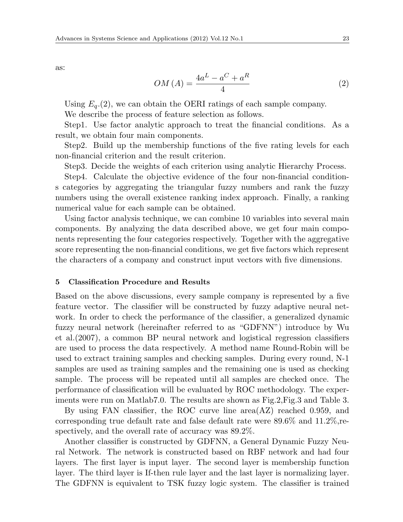as:

$$
OM(A) = \frac{4a^L - a^C + a^R}{4} \tag{2}
$$

Using  $E_q(2)$ , we can obtain the OERI ratings of each sample company.

We describe the process of feature selection as follows.

Step1. Use factor analytic approach to treat the financial conditions. As a result, we obtain four main components.

Step2. Build up the membership functions of the five rating levels for each non-financial criterion and the result criterion.

Step3. Decide the weights of each criterion using analytic Hierarchy Process.

Step4. Calculate the objective evidence of the four non-financial conditions categories by aggregating the triangular fuzzy numbers and rank the fuzzy numbers using the overall existence ranking index approach. Finally, a ranking numerical value for each sample can be obtained.

Using factor analysis technique, we can combine 10 variables into several main components. By analyzing the data described above, we get four main components representing the four categories respectively. Together with the aggregative score representing the non-financial conditions, we get five factors which represent the characters of a company and construct input vectors with five dimensions.

#### **5 Classification Procedure and Results**

Based on the above discussions, every sample company is represented by a five feature vector. The classifier will be constructed by fuzzy adaptive neural network. In order to check the performance of the classifier, a generalized dynamic fuzzy neural network (hereinafter referred to as "GDFNN") introduce by Wu et al.(2007), a common BP neural network and logistical regression classifiers are used to process the data respectively. A method name Round-Robin will be used to extract training samples and checking samples. During every round, N-1 samples are used as training samples and the remaining one is used as checking sample. The process will be repeated until all samples are checked once. The performance of classification will be evaluated by ROC methodology. The experiments were run on Matlab7.0. The results are shown as Fig.2,Fig.3 and Table 3.

By using FAN classifier, the ROC curve line area(AZ) reached 0.959, and corresponding true default rate and false default rate were 89.6% and 11.2%,respectively, and the overall rate of accuracy was 89.2%.

Another classifier is constructed by GDFNN, a General Dynamic Fuzzy Neural Network. The network is constructed based on RBF network and had four layers. The first layer is input layer. The second layer is membership function layer. The third layer is If-then rule layer and the last layer is normalizing layer. The GDFNN is equivalent to TSK fuzzy logic system. The classifier is trained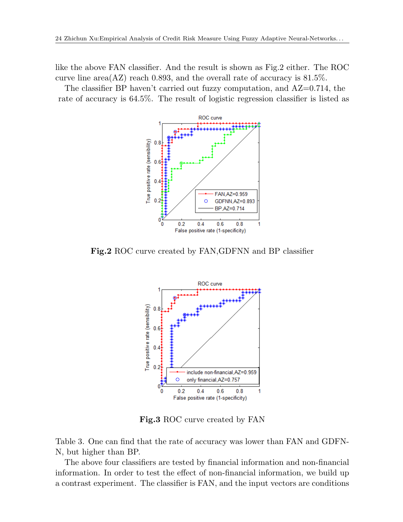like the above FAN classifier. And the result is shown as Fig.2 either. The ROC curve line area $(AZ)$  reach 0.893, and the overall rate of accuracy is 81.5%.

The classifier BP haven't carried out fuzzy computation, and  $AZ=0.714$ , the rate of accuracy is 64.5%. The result of logistic regression classifier is listed as



**Fig.2** ROC curve created by FAN,GDFNN and BP classifier



**Fig.3** ROC curve created by FAN

Table 3. One can find that the rate of accuracy was lower than FAN and GDFN-N, but higher than BP.

The above four classifiers are tested by financial information and non-financial information. In order to test the effect of non-financial information, we build up a contrast experiment. The classifier is FAN, and the input vectors are conditions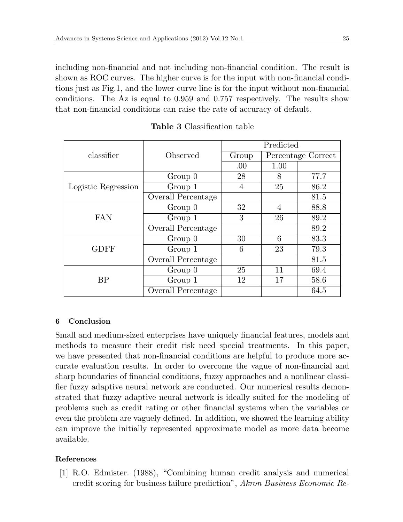including non-financial and not including non-financial condition. The result is shown as ROC curves. The higher curve is for the input with non-financial conditions just as Fig.1, and the lower curve line is for the input without non-financial conditions. The Az is equal to 0.959 and 0.757 respectively. The results show that non-financial conditions can raise the rate of accuracy of default.

|                     |                    | Predicted |                    |      |  |
|---------------------|--------------------|-----------|--------------------|------|--|
| classifier          | Observed           | Group     | Percentage Correct |      |  |
|                     |                    | .00.      | 1.00               |      |  |
| Logistic Regression | $Group\;0$         | 28        | 8                  | 77.7 |  |
|                     | Group 1            | 4         | 25                 | 86.2 |  |
|                     | Overall Percentage |           |                    | 81.5 |  |
| <b>FAN</b>          | $Group\;0$         | 32        | $\overline{4}$     | 88.8 |  |
|                     | Group 1            | 3         | 26                 | 89.2 |  |
|                     | Overall Percentage |           |                    | 89.2 |  |
| <b>GDFF</b>         | $Group\;0$         | 30        | 6                  | 83.3 |  |
|                     | Group 1            | 6         | 23                 | 79.3 |  |
|                     | Overall Percentage |           |                    | 81.5 |  |
| BP                  | $Group\;0$         | 25        | 11                 | 69.4 |  |
|                     | Group 1            | 12        | 17                 | 58.6 |  |
|                     | Overall Percentage |           |                    | 64.5 |  |

**Table 3** Classification table

## **6 Conclusion**

Small and medium-sized enterprises have uniquely financial features, models and methods to measure their credit risk need special treatments. In this paper, we have presented that non-financial conditions are helpful to produce more accurate evaluation results. In order to overcome the vague of non-financial and sharp boundaries of financial conditions, fuzzy approaches and a nonlinear classifier fuzzy adaptive neural network are conducted. Our numerical results demonstrated that fuzzy adaptive neural network is ideally suited for the modeling of problems such as credit rating or other financial systems when the variables or even the problem are vaguely defined. In addition, we showed the learning ability can improve the initially represented approximate model as more data become available.

## **References**

[1] R.O. Edmister. (1988), "Combining human credit analysis and numerical credit scoring for business failure prediction", *Akron Business Economic Re-*